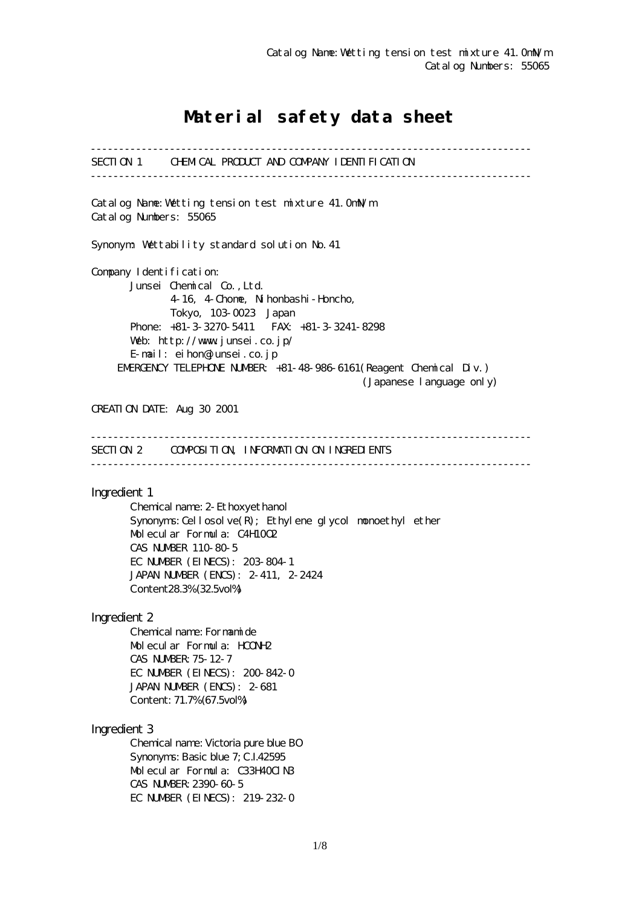# Material safety data sheet

------------------------------------------------------------------------------ SECTION 1 CHEMICAL PRODUCT AND COMPANY IDENTIFICATION ------------------------------------------------------------------------------ Catalog Name:Wetting tension test mixture 41.0mN/m Catalog Numbers: 55065 Synonym: Wettability standard solution No.41 Company I dentification: Junsei Chemical Co.,Ltd. 4-16, 4-Chome, Nihonbashi-Honcho, Tokyo, 103-0023 Japan Phone: +81-3-3270-5411 FAX: +81-3-3241-8298 Web: http://www.junsei.co.jp/ E-mail: eihon@junsei.co.jp EMERGENCY TELEPHONE NUMBER: +81-48-986-6161(Reagent Chemical Div.) (Japanese language only) CREATION DATE: Aug 30 2001 ------------------------------------------------------------------------------ SECTION 2 COMPOSITION, INFORMATION ON INGREDIENTS ------------------------------------------------------------------------------ Ingredient 1 Chemical name: 2-Ethoxyethanol Synonyms: Cellosolve $(R)$ ; Ethylene glycol monoethyl ether Molecular Formula: C4H10O2 CAS NUMBER 110-80-5 EC NUMBER (EINECS): 203-804-1 JAPAN NUMBER (ENCS): 2-411, 2-2424 Content28.3% (32.5vol%) Ingredient 2 Chemical name: Formamide Molecular Formula: HCONH2 CAS NUMBER:75-12-7 EC NUMBER (EINECS): 200-842-0 JAPAN NUMBER (ENCS): 2-681 Content: 71.7% (67.5vol%) Ingredient 3 Chemical name: Victoria pure blue BO Synonyms: Basic blue 7; C.I.42595 Molecular Formula: C33H40ClN3 CAS NUMBER:2390-60-5 EC NUMBER (EINECS): 219-232-0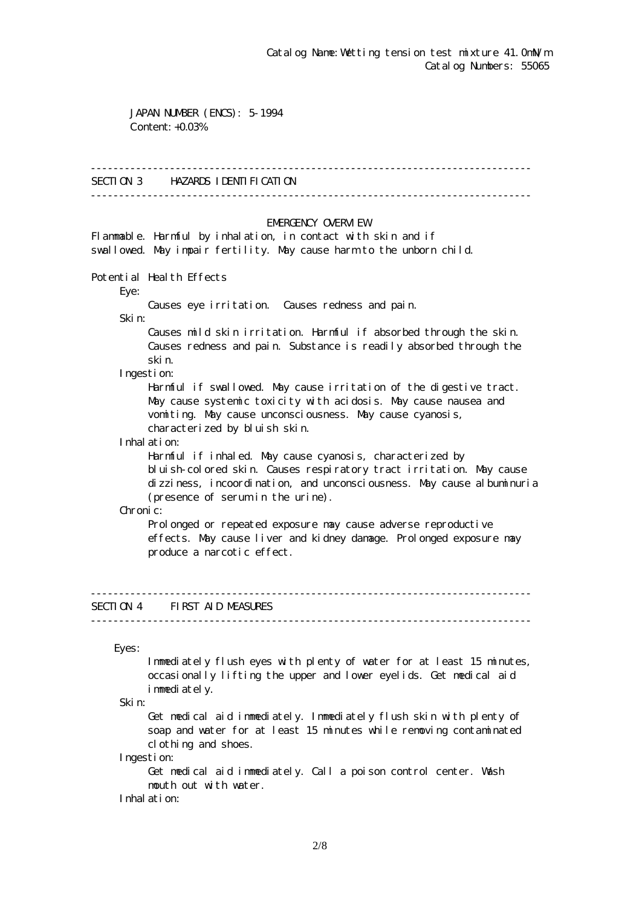JAPAN NUMBER (ENCS): 5-1994 Content: +0.03%

#### ------------------------------------------------------------------------------

### SECTION 3 HAZARDS IDENTIFICATION

------------------------------------------------------------------------------

#### EMERGENCY CAERM EW

Flammable. Harmful by inhalation, in contact with skin and if swallowed. May impair fertility. May cause harm to the unborn child.

Potential Health Effects

Eye:

Causes eye irritation. Causes redness and pain.

Skin:

 Causes mild skin irritation. Harmful if absorbed through the skin. Causes redness and pain. Substance is readily absorbed through the skin.

Ingestion:

 Harmful if swallowed. May cause irritation of the digestive tract. May cause systemic toxicity with acidosis. May cause nausea and vomiting. May cause unconsciousness. May cause cyanosis, characterized by bluish skin.

Inhalation:

 Harmful if inhaled. May cause cyanosis, characterized by bluish-colored skin. Causes respiratory tract irritation. May cause dizziness, incoordination, and unconsciousness. May cause albuminuria (presence of serum in the urine).

Chronic:

Prolonged or repeated exposure may cause adverse reproductive effects. May cause liver and kidney damage. Prolonged exposure may produce a narcotic effect.

# SECTION 4 FIRST AID MEASURES

------------------------------------------------------------------------------

------------------------------------------------------------------------------

Eyes:

 Immediately flush eyes with plenty of water for at least 15 minutes, occasionally lifting the upper and lower eyelids. Get medical aid immediately.

Skin:

 Get medical aid immediately. Immediately flush skin with plenty of soap and water for at least 15 minutes while removing contaminated clothing and shoes.

Ingestion:

 Get medical aid immediately. Call a poison control center. Wash mouth out with water.

Inhalation: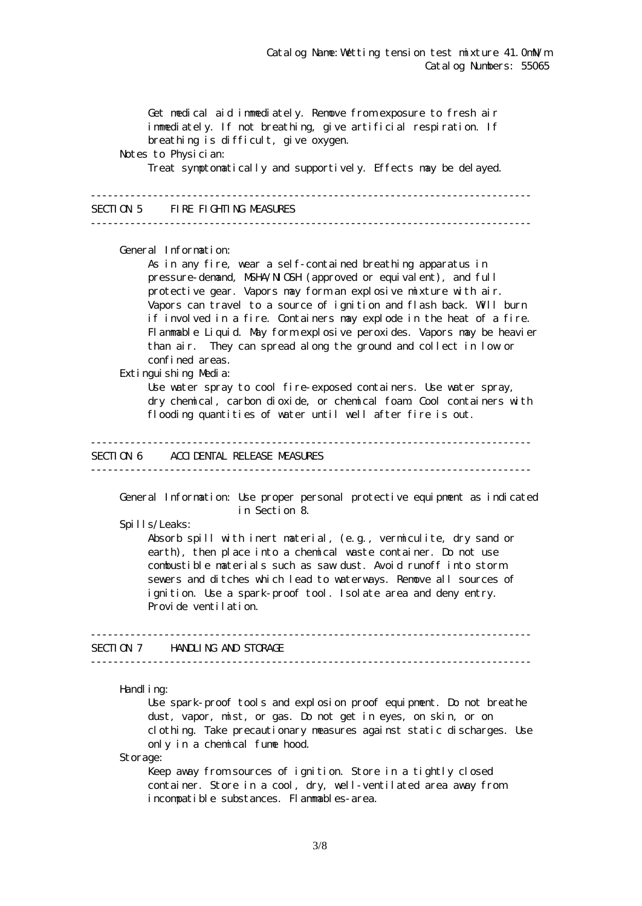Get medical aid immediately. Remove from exposure to fresh air immediately. If not breathing, give artificial respiration. If breathing is difficult, give oxygen. Notes to Physician: Treat symptomatically and supportively. Effects may be delayed. ------------------------------------------------------------------------------ SECTION 5 FIRE FIGHTING MEASURES ------------------------------------------------------------------------------ General Information: As in any fire, wear a self-contained breathing apparatus in pressure-demand, NSHA/NICSH (approved or equivalent), and full protective gear. Vapors may form an explosive mixture with air. Vapors can travel to a source of ignition and flash back. Will burn if involved in a fire. Containers may explode in the heat of a fire. Flammable Liquid. May form explosive peroxides. Vapors may be heavier than air. They can spread along the ground and collect in low or confined areas. Extinguishing Media: Use water spray to cool fire-exposed containers. Use water spray, dry chemical, carbon dioxide, or chemical foam. Cool containers with flooding quantities of water until well after fire is out. ------------------------------------------------------------------------------ SECTION 6 ACCIDENTAL RELEASE MEASURES ------------------------------------------------------------------------------ General Information: Use proper personal protective equipment as indicated in Section 8. Spills/Leaks: Absorb spill with inert material, (e.g., vermiculite, dry sand or earth), then place into a chemical waste container. Do not use combustible materials such as saw dust. Avoid runoff into storm sewers and ditches which lead to waterways. Remove all sources of ignition. Use a spark-proof tool. Isolate area and deny entry. Provide ventilation. ------------------------------------------------------------------------------ SECTION 7 HANDLING AND STORAGE ------------------------------------------------------------------------------ Handling: Use spark-proof tools and explosion proof equipment. Do not breathe dust, vapor, mist, or gas. Do not get in eyes, on skin, or on clothing. Take precautionary measures against static discharges. Use only in a chemical fume hood.

Storage:

Keep away from sources of ignition. Store in a tightly closed container. Store in a cool, dry, well-ventilated area away from incompatible substances. Flammables-area.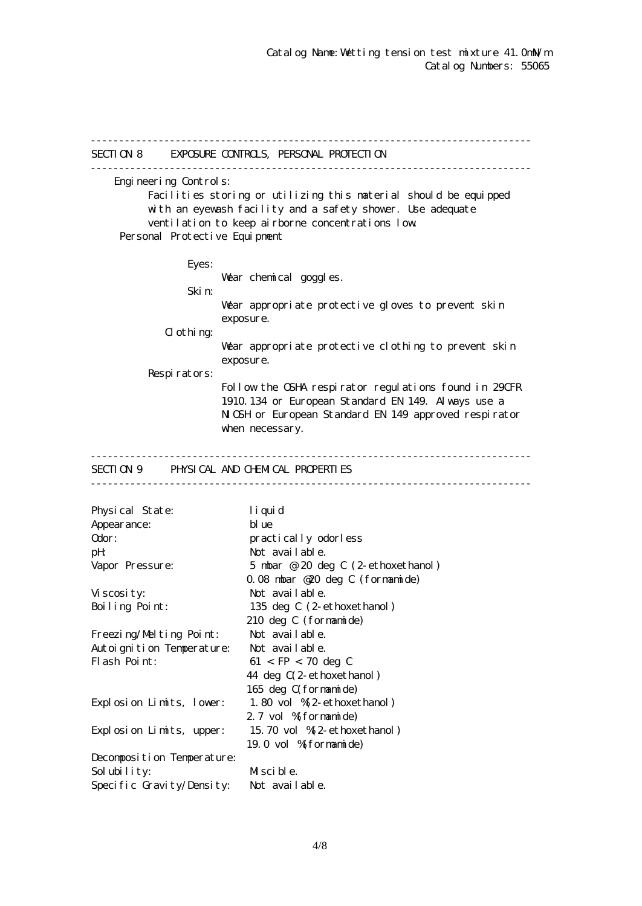------------------------------------------------------------------------------ SECTION 8 EXPOSURE CONTROLS, PERSONAL PROTECTION ------------------------------------------------------------------------------ Engineering Controls: Facilities storing or utilizing this material should be equipped with an eyewash facility and a safety shower. Use adequate ventilation to keep airborne concentrations low. Personal Protective Equipment Eyes: War chemical goggles. Skin: Wear appropriate protective gloves to prevent skin exposure.  $d$  othing: Wear appropriate protective clothing to prevent skin exposure. Respirators: Follow the OSHA respirator regulations found in 29CFR 1910.134 or European Standard EN 149. Always use a NGH or European Standard EN 149 approved respirator when necessary. ------------------------------------------------------------------------------ SECTION 9 PHYSICAL AND CHEMICAL PROPERTIES ------------------------------------------------------------------------------ Physical State: liquid Appearance: blue Odor: practically odorless pH: Not available. Vapor Pressure: 5 mbar @ 20 deg C (2-ethoxethanol) 0.08 mbar @20 deg C (formamide) Viscosity: Not available. Boiling Point: 135 deg C (2-ethoxethanol) 210 deg C (formamide) Freezing/Melting Point: Not available. Autoignition Temperature: Not available. Flash Point:  $61 < FP < 70$  deg C 44 deg C(2-ethoxethanol) 165 deg C(formamide) Explosion Limits, lower: 1.80 vol %(2-ethoxethanol) 2.7 vol % formamide) Explosion Limits, upper: 15.70 vol %(2-ethoxethanol) 19.0 vol %(formamide) Decomposition Temperature: Solubility: Miscible. Specific Gravity/Density: Not available.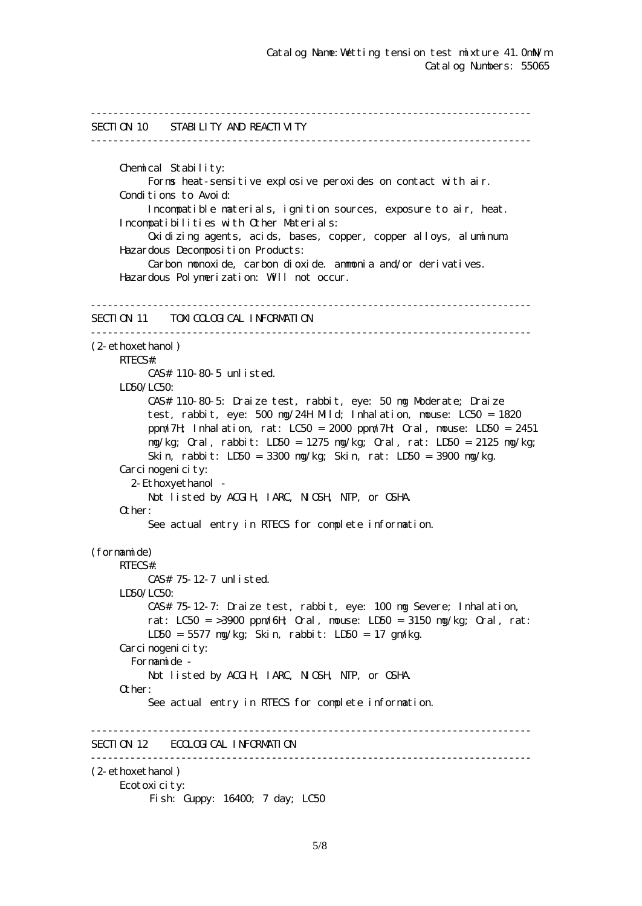```
------------------------------------------------------------------------------
SECTION 10 STABILITY AND REACTIVITY
------------------------------------------------------------------------------
      Chemical Stability:
           Forms heat-sensitive explosive peroxides on contact with air.
     Conditions to Avoid:
           Incompatible materials, ignition sources, exposure to air, heat.
      Incompatibilities with Other Materials:
           Oxidizing agents, acids, bases, copper, copper alloys, aluminum.
      Hazardous Decomposition Products:
           Carbon monoxide, carbon dioxide. ammonia and/or derivatives.
      Hazardous Polymerization: Will not occur.
------------------------------------------------------------------------------
SECTION 11 TOXICOLOGICAL INFORMATION
------------------------------------------------------------------------------
(2-ethoxethanol)
      RTECS#:
           CAS# 110-80-5 unlisted.
     LDSO/LCSO CAS# 110-80-5: Draize test, rabbit, eye: 50 mg Moderate; Draize
           test, rabbit, eye: 500 mg/24H Mild; Inhalation, mouse: LC50 = 1820
           ppm/7H; Inhalation, rat: LC50 = 2000 ppm/7H; Oral, mouse: LD50 = 2451
           mg/kg; Oral, rabbit: LD50 = 1275 mg/kg; Oral, rat: LD50 = 2125 mg/kg;
           Skin, rabbit: LD50 = 3300 mg/kg; Skin, rat: LD50 = 3900 mg/kg.
     Carcinogenicity:
        2-Ethoxyethanol -
          Not listed by ACGIH, IARC, NIGH, NTP, or CSHA.
      Other:
           See actual entry in RTECS for complete information.
(formamide)
      RTECS#:
           CAS# 75-12-7 unlisted.
      LD50/LC50:
           CAS# 75-12-7: Draize test, rabbit, eye: 100 mg Severe; Inhalation,
          rat: LC50 = 3900 ppm/6H \alphaal, nouse: LD50 = 3150 ng/kg; \alphaal, rat:
           LD50 = 5577 mg/kg; Skin, rabbit: LD50 = 17 gm/kg.
     Carcinogenicity:
        Formamide -
          Not listed by ACGIH, IARC, NICSH, NIP, or CSHA.
      Other:
           See actual entry in RTECS for complete information.
  ------------------------------------------------------------------------------
SECTION 12 ECOLOGICAL INFORMATION
------------------------------------------------------------------------------
(2-ethoxethanol)
      Ecotoxicity:
          Fish: Guppy: 16400; 7 day; LC50
```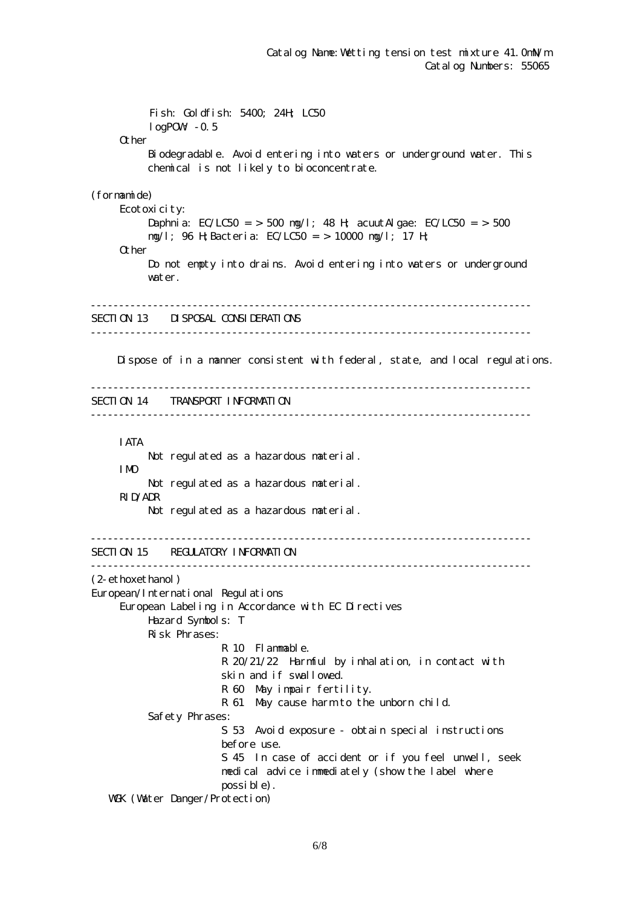Fish: Goldfish: 5400; 24H; LC50  $log$ POW $-0.5$ **Q** her Biodegradable. Avoid entering into waters or underground water. This chemical is not likely to bioconcentrate. (formamide) Ecotoxicity: Daphnia:  $EC/LC50 = 500$  ng/l; 48 H; acuut Algae:  $EC/LC50 = 500$  mg/l; 96 H;Bacteria: EC/LC50 = > 10000 mg/l; 17 H; Other Do not empty into drains. Avoid entering into waters or underground water. ------------------------------------------------------------------------------ SECTION 13 DISPOSAL CONSIDERATIONS ------------------------------------------------------------------------------ Dispose of in a manner consistent with federal, state, and local regulations. ------------------------------------------------------------------------------ SECTION 14 TRANSPORT INFORMATION ------------------------------------------------------------------------------ IATA Not regulated as a hazardous material. IMO Not regulated as a hazardous material. RID/ADR Not regulated as a hazardous material. ------------------------------------------------------------------------------ SECTION 15 REGULATORY INFORMATION ------------------------------------------------------------------------------ (2-ethoxethanol) European/International Regulations European Labeling in Accordance with EC Directives Hazard Symbols: T Risk Phrases: R 10 Flammable. R 20/21/22 Harmful by inhalation, in contact with skin and if swallowed. R 60 May impair fertility. R 61 May cause harm to the unborn child. Safety Phrases: S 53 Avoid exposure - obtain special instructions before use. S 45 In case of accident or if you feel unwell, seek medical advice immediately (show the label where possible). WGK (Watter Danger/Protection)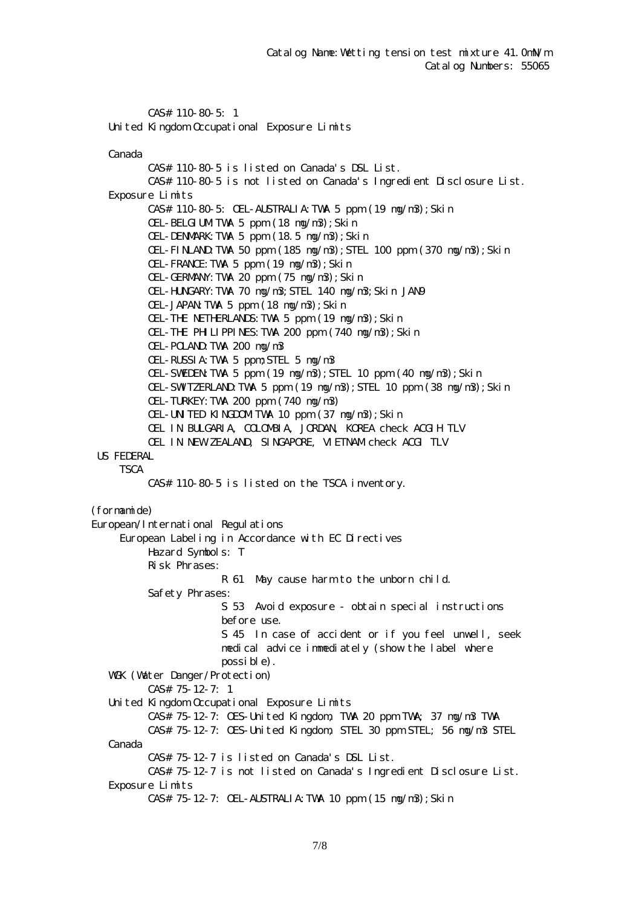CAS# 110-80-5: 1 United Kingdom Occupational Exposure Limits

Canada

 CAS# 110-80-5 is listed on Canada's DSL List. CAS# 110-80-5 is not listed on Canada's Ingredient Disclosure List. Exposure Limits CAS# 110-80-5: OEL-AUSTRALIA:TWA 5 ppm (19 mg/m3);Skin OEL-BELGIUM TWA 5 ppm  $(18 \text{ ng}/\text{m}3)$ ; Skin OEL-DENMARK:TWA 5 ppm (18.5 mg/m3);Skin OEL-FINLAND:TWA 50 ppm (185 mg/m3);STEL 100 ppm (370 mg/m3);Skin OEL-FRANCE:TWA 5 ppm (19 mg/m3);Skin OEL-GERMANY:TWA 20 ppm (75 mg/m3);Skin OEL-HUNGARY:TWA 70 mg/m3;STEL 140 mg/m3;Skin JAN9 OEL-JAPAN TWA 5 ppm  $(18 \text{ ng}/\text{m}3)$ ; Skin OEL-THE NETHERLANDS:TWA 5 ppm (19 mg/m3);Skin OEL-THE PHILIPPINES:TWA 200 ppm (740 mg/m3);Skin OEL-POLAND:TWA 200 mg/m3 OEL-RUSSIA:TWA 5 ppm;STEL 5 mg/m3 OEL-SWEDEN TWA 5 ppm (19  $mg/m3$ ); STEL 10 ppm (40  $mg/m3$ ); Skin OEL-SWIZERLAND TWA 5 ppm  $(19 \text{ ng/m3})$ ; STEL 10 ppm  $(38 \text{ ng/m3})$ ; Skin OEL-TURKEY:TWA 200 ppm (740 mg/m3) OEL-UNITED KINGDOMITWA 10 ppm (37 mg/m3); Skin OEL IN BULGARIA, COLOMBIA, JORDAN, KOREA check ACGIH TLV OEL IN NEW ZEALAND, SINGAPORE, VIETNAM check ACGI TLV US FEDERAL **TSCA**  CAS# 110-80-5 is listed on the TSCA inventory. (formamide) European/International Regulations European Labeling in Accordance with EC Directives Hazard Symbols: T Risk Phrases: R 61 May cause harm to the unborn child. Safety Phrases: S 53 Avoid exposure - obtain special instructions before use. S 45 In case of accident or if you feel unwell, seek medical advice immediately (show the label where possible). WGK (Water Danger/Protection) CAS# 75-12-7: 1 United Kingdom Occupational Exposure Limits CAS# 75-12-7: OES-United Kingdom, TWA 20 ppm TWA; 37 mg/m3 TWA CAS# 75-12-7: OES-United Kingdom, STEL 30 ppm STEL; 56 mg/m3 STEL Canada CAS# 75-12-7 is listed on Canada's DSL List. CAS# 75-12-7 is not listed on Canada's Ingredient Disclosure List. Exposure Limits CAS# 75-12-7: OEL-AUSTRALIA:TWA 10 ppm (15 mg/m3);Skin